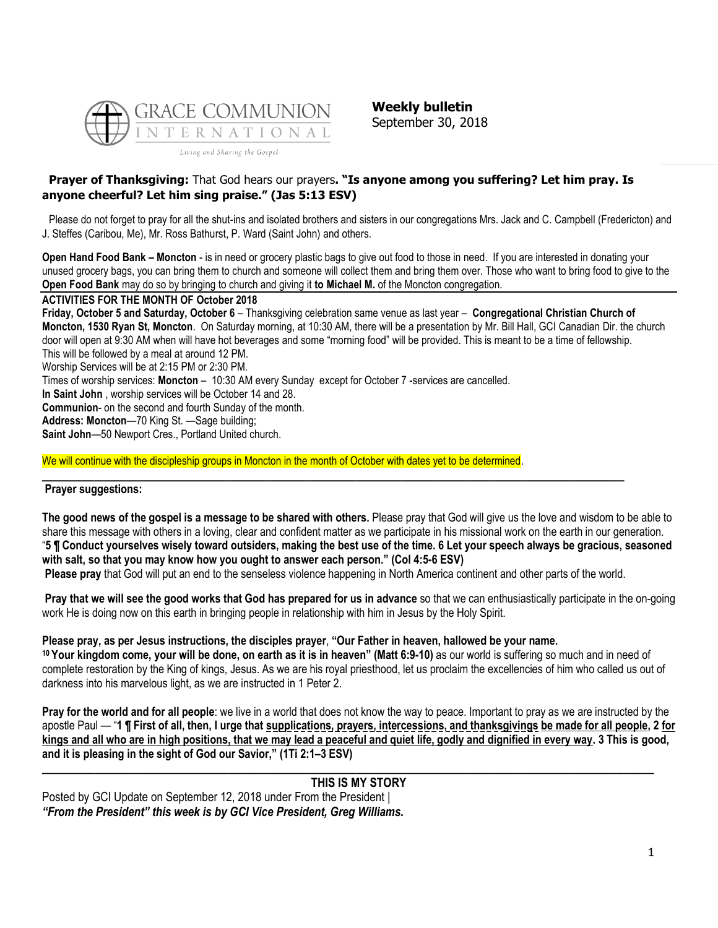

**Weekly bulletin** September 30, 2018

## **Prayer of Thanksgiving:** That God hears our prayers**. "Is anyone among you suffering? Let him pray. Is anyone cheerful? Let him sing praise." (Jas 5:13 ESV)**

Please do not forget to pray for all the shut-ins and isolated brothers and sisters in our congregations Mrs. Jack and C. Campbell (Fredericton) and J. Steffes (Caribou, Me), Mr. Ross Bathurst, P. Ward (Saint John) and others.

**Open Hand Food Bank – Moncton** - is in need or grocery plastic bags to give out food to those in need. If you are interested in donating your unused grocery bags, you can bring them to church and someone will collect them and bring them over. Those who want to bring food to give to the **Open Food Bank** may do so by bringing to church and giving it **to Michael M.** of the Moncton congregation.

### **ACTIVITIES FOR THE MONTH OF October 2018**

**Friday, October 5 and Saturday, October 6** – Thanksgiving celebration same venue as last year – **Congregational Christian Church of Moncton, 1530 Ryan St, Moncton**. On Saturday morning, at 10:30 AM, there will be a presentation by Mr. Bill Hall, GCI Canadian Dir. the church door will open at 9:30 AM when will have hot beverages and some "morning food" will be provided. This is meant to be a time of fellowship. This will be followed by a meal at around 12 PM. Worship Services will be at 2:15 PM or 2:30 PM. Times of worship services: **Moncton** – 10:30 AM every Sunday except for October 7 -services are cancelled. **In Saint John** , worship services will be October 14 and 28. **Communion**- on the second and fourth Sunday of the month. **Address: Moncton**—70 King St. —Sage building;

**Saint John**—50 Newport Cres., Portland United church.

We will continue with the discipleship groups in Moncton in the month of October with dates yet to be determined.

## **Prayer suggestions:**

**The good news of the gospel is a message to be shared with others.** Please pray that God will give us the love and wisdom to be able to share this message with others in a loving, clear and confident matter as we participate in his missional work on the earth in our generation. "**5 ¶ Conduct yourselves wisely toward outsiders, making the best use of the time. 6 Let your speech always be gracious, seasoned with salt, so that you may know how you ought to answer each person." (Col 4:5-6 ESV)**

**Please pray** that God will put an end to the senseless violence happening in North America continent and other parts of the world.

**\_\_\_\_\_\_\_\_\_\_\_\_\_\_\_\_\_\_\_\_\_\_\_\_\_\_\_\_\_\_\_\_\_\_\_\_\_\_\_\_\_\_\_\_\_\_\_\_\_\_\_\_\_\_\_\_\_\_\_\_\_\_\_\_\_\_\_\_\_\_\_\_\_\_\_\_\_\_**

**Pray that we will see the good works that God has prepared for us in advance** so that we can enthusiastically participate in the on-going work He is doing now on this earth in bringing people in relationship with him in Jesus by the Holy Spirit.

#### **Please pray, as per Jesus instructions, the disciples prayer**, **"Our Father in heaven, hallowed be your name.**

**<sup>10</sup> Your kingdom come, your will be done, on earth as it is in heaven" (Matt 6:9-10)** as our world is suffering so much and in need of complete restoration by the King of kings, Jesus. As we are his royal priesthood, let us proclaim the excellencies of him who called us out of darkness into his marvelous light, as we are instructed in 1 Peter 2.

**Pray for the world and for all people**: we live in a world that does not know the way to peace. Important to pray as we are instructed by the apostle Paul — "**1 ¶ First of all, then, I urge that supplications, prayers, intercessions, and thanksgivings be made for all people, 2 for kings and all who are in high positions, that we may lead a peaceful and quiet life, godly and dignified in every way. 3 This is good, and it is pleasing in the sight of God our Savior," (1Ti 2:1–3 ESV)**

#### **\_\_\_\_\_\_\_\_\_\_\_\_\_\_\_\_\_\_\_\_\_\_\_\_\_\_\_\_\_\_\_\_\_\_\_\_\_\_\_\_\_\_\_\_\_\_\_\_\_\_\_\_\_\_\_\_\_\_\_\_\_\_\_\_\_\_\_\_\_\_\_\_\_\_\_\_\_\_\_\_\_\_ [THIS IS MY STORY](https://update.gci.org/2018/09/this-is-my-story/)**

Posted by GCI Update on September 12, 2018 under [From the President](https://update.gci.org/category/president/) | *"From the President" this week is by GCI Vice President, Greg Williams.*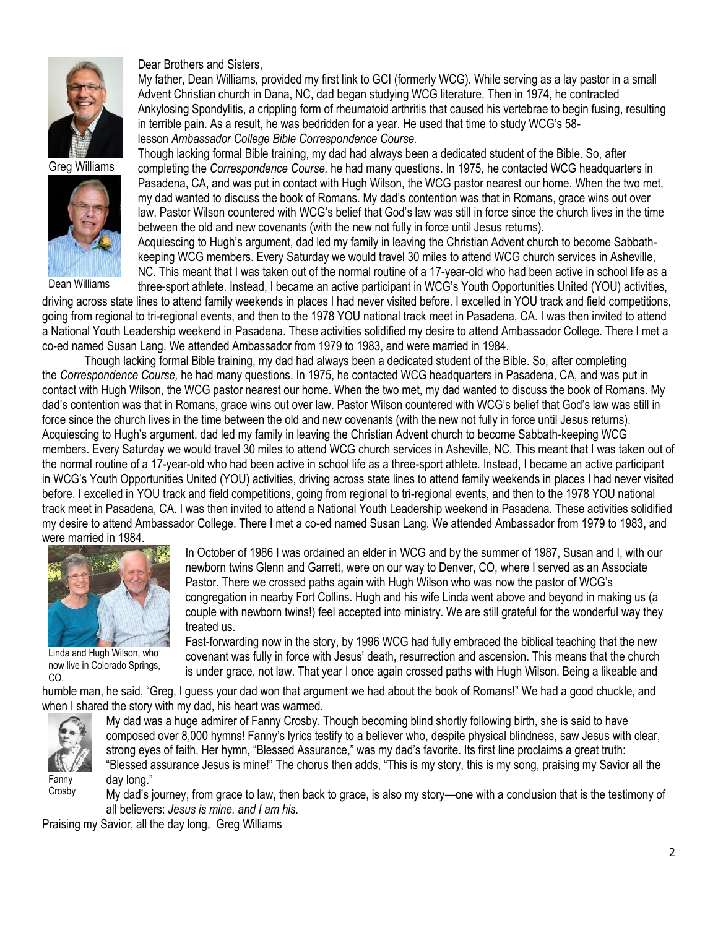

Greg Williams



Dean Williams

Dear Brothers and Sisters,

My father, Dean Williams, provided my first link to GCI (formerly WCG). While serving as a lay pastor in a small Advent Christian church in Dana, NC, dad began studying WCG literature. Then in 1974, he contracted Ankylosing Spondylitis, a crippling form of rheumatoid arthritis that caused his vertebrae to begin fusing, resulting in terrible pain. As a result, he was bedridden for a year. He used that time to study WCG's 58 lesson *Ambassador College Bible Correspondence Course.*

Though lacking formal Bible training, my dad had always been a dedicated student of the Bible. So, after completing the *Correspondence Course,* he had many questions. In 1975, he contacted WCG headquarters in Pasadena, CA, and was put in contact with Hugh Wilson, the WCG pastor nearest our home. When the two met, my dad wanted to discuss the book of Romans. My dad's contention was that in Romans, grace wins out over law. Pastor Wilson countered with WCG's belief that God's law was still in force since the church lives in the time between the old and new covenants (with the new not fully in force until Jesus returns).

Acquiescing to Hugh's argument, dad led my family in leaving the Christian Advent church to become Sabbathkeeping WCG members. Every Saturday we would travel 30 miles to attend WCG church services in Asheville, NC. This meant that I was taken out of the normal routine of a 17-year-old who had been active in school life as a

three-sport athlete. Instead, I became an active participant in WCG's Youth Opportunities United (YOU) activities, driving across state lines to attend family weekends in places I had never visited before. I excelled in YOU track and field competitions, going from regional to tri-regional events, and then to the 1978 YOU national track meet in Pasadena, CA. I was then invited to attend a National Youth Leadership weekend in Pasadena. These activities solidified my desire to attend Ambassador College. There I met a co-ed named Susan Lang. We attended Ambassador from 1979 to 1983, and were married in 1984.

Though lacking formal Bible training, my dad had always been a dedicated student of the Bible. So, after completing the *Correspondence Course,* he had many questions. In 1975, he contacted WCG headquarters in Pasadena, CA, and was put in contact with Hugh Wilson, the WCG pastor nearest our home. When the two met, my dad wanted to discuss the book of Romans. My dad's contention was that in Romans, grace wins out over law. Pastor Wilson countered with WCG's belief that God's law was still in force since the church lives in the time between the old and new covenants (with the new not fully in force until Jesus returns). Acquiescing to Hugh's argument, dad led my family in leaving the Christian Advent church to become Sabbath-keeping WCG members. Every Saturday we would travel 30 miles to attend WCG church services in Asheville, NC. This meant that I was taken out of the normal routine of a 17-year-old who had been active in school life as a three-sport athlete. Instead, I became an active participant in WCG's Youth Opportunities United (YOU) activities, driving across state lines to attend family weekends in places I had never visited before. I excelled in YOU track and field competitions, going from regional to tri-regional events, and then to the 1978 YOU national track meet in Pasadena, CA. I was then invited to attend a National Youth Leadership weekend in Pasadena. These activities solidified my desire to attend Ambassador College. There I met a co-ed named Susan Lang. We attended Ambassador from 1979 to 1983, and were married in 1984.



Linda and Hugh Wilson, who now live in Colorado Springs, CO.

In October of 1986 I was ordained an elder in WCG and by the summer of 1987, Susan and I, with our newborn twins Glenn and Garrett, were on our way to Denver, CO, where I served as an Associate Pastor. There we crossed paths again with Hugh Wilson who was now the pastor of WCG's congregation in nearby Fort Collins. Hugh and his wife Linda went above and beyond in making us (a couple with newborn twins!) feel accepted into ministry. We are still grateful for the wonderful way they treated us.

Fast-forwarding now in the story, by 1996 WCG had fully embraced the biblical teaching that the new covenant was fully in force with Jesus' death, resurrection and ascension. This means that the church is under grace, not law. That year I once again crossed paths with Hugh Wilson. Being a likeable and

humble man, he said, "Greg, I guess your dad won that argument we had about the book of Romans!" We had a good chuckle, and when I shared the story with my dad, his heart was warmed.



My dad was a huge admirer of Fanny Crosby. Though becoming blind shortly following birth, she is said to have composed over 8,000 hymns! Fanny's lyrics testify to a believer who, despite physical blindness, saw Jesus with clear, strong eyes of faith. Her hymn, "Blessed Assurance," was my dad's favorite. Its first line proclaims a great truth: "Blessed assurance Jesus is mine!" The chorus then adds, "This is my story, this is my song, praising my Savior all the day long."

My dad's journey, from grace to law, then back to grace, is also my story—one with a conclusion that is the testimony of all believers: *Jesus is mine, and I am his.*

Praising my Savior, all the day long, Greg Williams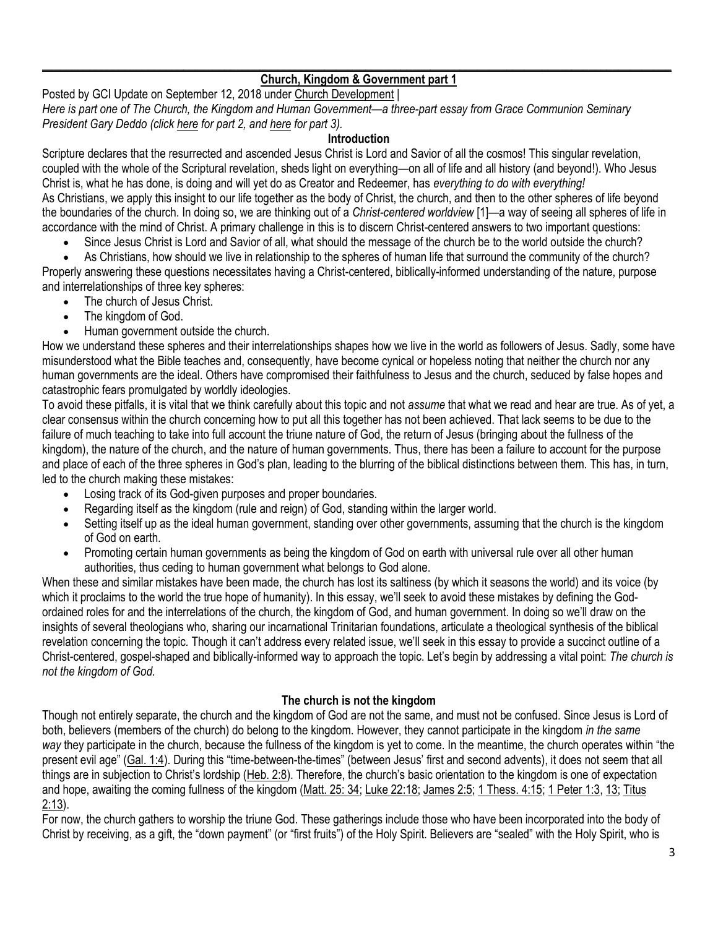## $\_$  ,  $\_$  ,  $\_$  ,  $\_$  ,  $\_$  ,  $\_$  ,  $\_$  ,  $\_$  ,  $\_$  ,  $\_$  ,  $\_$  ,  $\_$  ,  $\_$  ,  $\_$  ,  $\_$  ,  $\_$  ,  $\_$  ,  $\_$  ,  $\_$  ,  $\_$  ,  $\_$  ,  $\_$  ,  $\_$  ,  $\_$  ,  $\_$  ,  $\_$  ,  $\_$  ,  $\_$  ,  $\_$  ,  $\_$  ,  $\_$  ,  $\_$  ,  $\_$  ,  $\_$  ,  $\_$  ,  $\_$  ,  $\_$  , **[Church, Kingdom & Government part 1](https://update.gci.org/2018/09/church-kingdom-government-part-1/)**

Posted by GCI Update on September 12, 2018 under [Church Development](https://update.gci.org/category/churchdev/) | *Here is part one of The Church, the Kingdom and Human Government—a three-part essay from Grace Communion Seminary President Gary Deddo (click [here](https://update.gci.org/2018/09/church-kingdom-government-part-2/) for part 2, and [here](https://update.gci.org/2018/09/church-kingdom-government-part-3/) for part 3).*

### **Introduction**

Scripture declares that the resurrected and ascended Jesus Christ is Lord and Savior of all the cosmos! This singular revelation, coupled with the whole of the Scriptural revelation, sheds light on everything—on all of life and all history (and beyond!). Who Jesus Christ is, what he has done, is doing and will yet do as Creator and Redeemer, has *everything to do with everything!* As Christians, we apply this insight to our life together as the body of Christ, the church, and then to the other spheres of life beyond the boundaries of the church. In doing so, we are thinking out of a *Christ-centered worldview* [1]—a way of seeing all spheres of life in accordance with the mind of Christ. A primary challenge in this is to discern Christ-centered answers to two important questions:

• Since Jesus Christ is Lord and Savior of all, what should the message of the church be to the world outside the church?

• As Christians, how should we live in relationship to the spheres of human life that surround the community of the church? Properly answering these questions necessitates having a Christ-centered, biblically-informed understanding of the nature, purpose and interrelationships of three key spheres:

- The church of Jesus Christ.
- The kingdom of God.
- Human government outside the church.

How we understand these spheres and their interrelationships shapes how we live in the world as followers of Jesus. Sadly, some have misunderstood what the Bible teaches and, consequently, have become cynical or hopeless noting that neither the church nor any human governments are the ideal. Others have compromised their faithfulness to Jesus and the church, seduced by false hopes and catastrophic fears promulgated by worldly ideologies.

To avoid these pitfalls, it is vital that we think carefully about this topic and not *assume* that what we read and hear are true. As of yet, a clear consensus within the church concerning how to put all this together has not been achieved. That lack seems to be due to the failure of much teaching to take into full account the triune nature of God, the return of Jesus (bringing about the fullness of the kingdom), the nature of the church, and the nature of human governments. Thus, there has been a failure to account for the purpose and place of each of the three spheres in God's plan, leading to the blurring of the biblical distinctions between them. This has, in turn, led to the church making these mistakes:

- Losing track of its God-given purposes and proper boundaries.
- Regarding itself as the kingdom (rule and reign) of God, standing within the larger world.
- Setting itself up as the ideal human government, standing over other governments, assuming that the church is the kingdom of God on earth.
- Promoting certain human governments as being the kingdom of God on earth with universal rule over all other human authorities, thus ceding to human government what belongs to God alone.

When these and similar mistakes have been made, the church has lost its saltiness (by which it seasons the world) and its voice (by which it proclaims to the world the true hope of humanity). In this essay, we'll seek to avoid these mistakes by defining the Godordained roles for and the interrelations of the church, the kingdom of God, and human government. In doing so we'll draw on the insights of several theologians who, sharing our incarnational Trinitarian foundations, articulate a theological synthesis of the biblical revelation concerning the topic*.* Though it can't address every related issue, we'll seek in this essay to provide a succinct outline of a Christ-centered, gospel-shaped and biblically-informed way to approach the topic. Let's begin by addressing a vital point: *The church is not the kingdom of God.*

# **The church is not the kingdom**

Though not entirely separate, the church and the kingdom of God are not the same, and must not be confused. Since Jesus is Lord of both, believers (members of the church) do belong to the kingdom. However, they cannot participate in the kingdom *in the same way* they participate in the church, because the fullness of the kingdom is yet to come. In the meantime, the church operates within "the present evil age" ([Gal. 1:4](https://biblia.com/bible/niv/Gal.%201.4)). During this "time-between-the-times" (between Jesus' first and second advents), it does not seem that all things are in subjection to Christ's lordship ([Heb. 2:8](https://biblia.com/bible/niv/Heb.%202.8)). Therefore, the church's basic orientation to the kingdom is one of expectation and hope, awaiting the coming fullness of the kingdom [\(Matt. 25: 34;](https://biblia.com/bible/niv/Matt.%2025.%2034) [Luke 22:18;](https://biblia.com/bible/niv/Luke%2022.18) [James 2:5;](https://biblia.com/bible/niv/James%202.5) [1 Thess. 4:15;](https://biblia.com/bible/niv/1%20Thess.%204.15) [1 Peter 1:3,](https://biblia.com/bible/niv/1%20Pet%201.3) [13;](https://biblia.com/bible/niv/1%20Peter%201.13) [Titus](https://biblia.com/bible/niv/Titus%202.13)  [2:13\)](https://biblia.com/bible/niv/Titus%202.13).

For now, the church gathers to worship the triune God. These gatherings include those who have been incorporated into the body of Christ by receiving, as a gift, the "down payment" (or "first fruits") of the Holy Spirit. Believers are "sealed" with the Holy Spirit, who is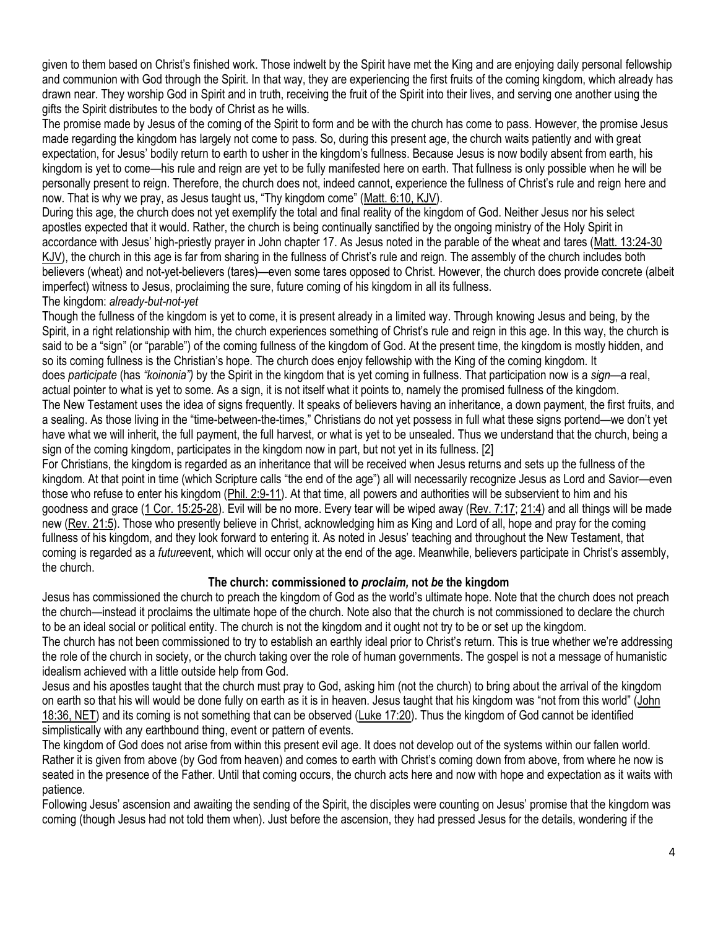given to them based on Christ's finished work. Those indwelt by the Spirit have met the King and are enjoying daily personal fellowship and communion with God through the Spirit. In that way, they are experiencing the first fruits of the coming kingdom, which already has drawn near. They worship God in Spirit and in truth, receiving the fruit of the Spirit into their lives, and serving one another using the gifts the Spirit distributes to the body of Christ as he wills.

The promise made by Jesus of the coming of the Spirit to form and be with the church has come to pass. However, the promise Jesus made regarding the kingdom has largely not come to pass. So, during this present age, the church waits patiently and with great expectation, for Jesus' bodily return to earth to usher in the kingdom's fullness. Because Jesus is now bodily absent from earth, his kingdom is yet to come—his rule and reign are yet to be fully manifested here on earth. That fullness is only possible when he will be personally present to reign. Therefore, the church does not, indeed cannot, experience the fullness of Christ's rule and reign here and now. That is why we pray, as Jesus taught us, "Thy kingdom come" ([Matt. 6:10, KJV\)](https://biblia.com/bible/kjv1900/Matt.%206.10).

During this age, the church does not yet exemplify the total and final reality of the kingdom of God. Neither Jesus nor his select apostles expected that it would. Rather, the church is being continually sanctified by the ongoing ministry of the Holy Spirit in accordance with Jesus' high-priestly prayer in John chapter 17. As Jesus noted in the parable of the wheat and tares [\(Matt. 13:24-30](https://biblia.com/bible/kjv1900/Matt.%2013.24-30)  [KJV](https://biblia.com/bible/kjv1900/Matt.%2013.24-30)), the church in this age is far from sharing in the fullness of Christ's rule and reign. The assembly of the church includes both believers (wheat) and not-yet-believers (tares)—even some tares opposed to Christ. However, the church does provide concrete (albeit imperfect) witness to Jesus, proclaiming the sure, future coming of his kingdom in all its fullness.

# The kingdom: *already-but-not-yet*

Though the fullness of the kingdom is yet to come, it is present already in a limited way. Through knowing Jesus and being, by the Spirit, in a right relationship with him, the church experiences something of Christ's rule and reign in this age. In this way, the church is said to be a "sign" (or "parable") of the coming fullness of the kingdom of God. At the present time, the kingdom is mostly hidden, and so its coming fullness is the Christian's hope. The church does enjoy fellowship with the King of the coming kingdom. It does *participate* (has *"koinonia")* by the Spirit in the kingdom that is yet coming in fullness. That participation now is a *sign—*a real,

actual pointer to what is yet to some. As a sign, it is not itself what it points to, namely the promised fullness of the kingdom. The New Testament uses the idea of signs frequently. It speaks of believers having an inheritance, a down payment, the first fruits, and a sealing. As those living in the "time-between-the-times," Christians do not yet possess in full what these signs portend—we don't yet have what we will inherit, the full payment, the full harvest, or what is yet to be unsealed. Thus we understand that the church, being a sign of the coming kingdom, participates in the kingdom now in part, but not yet in its fullness. [2]

For Christians, the kingdom is regarded as an inheritance that will be received when Jesus returns and sets up the fullness of the kingdom. At that point in time (which Scripture calls "the end of the age") all will necessarily recognize Jesus as Lord and Savior—even those who refuse to enter his kingdom [\(Phil. 2:9-11\)](https://biblia.com/bible/niv/Phil.%202.9-11). At that time, all powers and authorities will be subservient to him and his goodness and grace [\(1 Cor. 15:25-28\)](https://biblia.com/bible/niv/1%20Cor.%2015.25-28). Evil will be no more. Every tear will be wiped away [\(Rev. 7:17;](https://biblia.com/bible/niv/Rev.%207.17) [21:4\)](https://biblia.com/bible/niv/Rev%2021.4) and all things will be made new [\(Rev. 21:5\)](https://biblia.com/bible/niv/Rev.%2021.5). Those who presently believe in Christ, acknowledging him as King and Lord of all, hope and pray for the coming fullness of his kingdom, and they look forward to entering it. As noted in Jesus' teaching and throughout the New Testament, that coming is regarded as a *future*event, which will occur only at the end of the age. Meanwhile, believers participate in Christ's assembly, the church.

# **The church: commissioned to** *proclaim,* **not** *be* **the kingdom**

Jesus has commissioned the church to preach the kingdom of God as the world's ultimate hope. Note that the church does not preach the church—instead it proclaims the ultimate hope of the church. Note also that the church is not commissioned to declare the church to be an ideal social or political entity. The church is not the kingdom and it ought not try to be or set up the kingdom.

The church has not been commissioned to try to establish an earthly ideal prior to Christ's return. This is true whether we're addressing the role of the church in society, or the church taking over the role of human governments. The gospel is not a message of humanistic idealism achieved with a little outside help from God.

Jesus and his apostles taught that the church must pray to God, asking him (not the church) to bring about the arrival of the kingdom on earth so that his will would be done fully on earth as it is in heaven. Jesus taught that his kingdom was "not from this world" ([John](https://biblia.com/bible/gs-netbible/John%2018.36)  [18:36, NET\)](https://biblia.com/bible/gs-netbible/John%2018.36) and its coming is not something that can be observed [\(Luke 17:20\)](https://biblia.com/bible/niv/Luke%2017.20). Thus the kingdom of God cannot be identified simplistically with any earthbound thing, event or pattern of events.

The kingdom of God does not arise from within this present evil age. It does not develop out of the systems within our fallen world. Rather it is given from above (by God from heaven) and comes to earth with Christ's coming down from above, from where he now is seated in the presence of the Father. Until that coming occurs, the church acts here and now with hope and expectation as it waits with patience.

Following Jesus' ascension and awaiting the sending of the Spirit, the disciples were counting on Jesus' promise that the kingdom was coming (though Jesus had not told them when). Just before the ascension, they had pressed Jesus for the details, wondering if the